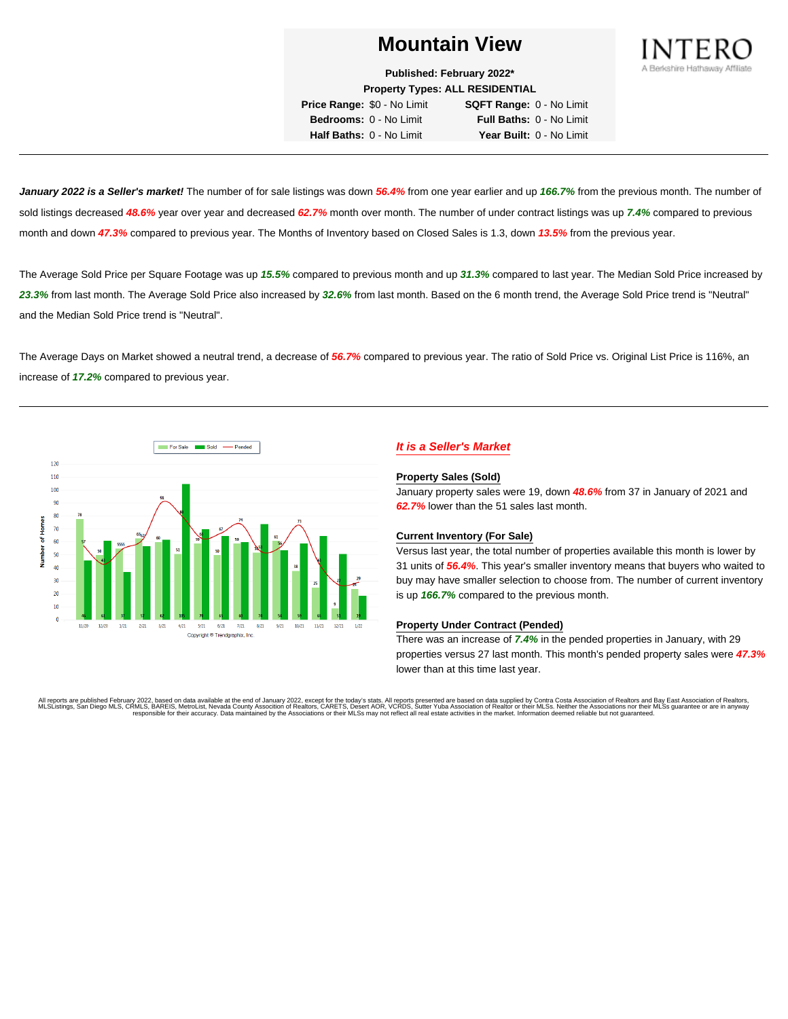

**Published: February 2022\* Property Types: ALL RESIDENTIAL**

**Price Range:** \$0 - No Limit **SQFT Range:** 0 - No Limit **Bedrooms:** 0 - No Limit **Full Baths:** 0 - No Limit **Half Baths:** 0 - No Limit **Year Built:** 0 - No Limit

**January 2022 is a Seller's market!** The number of for sale listings was down **56.4%** from one year earlier and up **166.7%** from the previous month. The number of sold listings decreased **48.6%** year over year and decreased **62.7%** month over month. The number of under contract listings was up **7.4%** compared to previous month and down **47.3%** compared to previous year. The Months of Inventory based on Closed Sales is 1.3, down **13.5%** from the previous year.

The Average Sold Price per Square Footage was up **15.5%** compared to previous month and up **31.3%** compared to last year. The Median Sold Price increased by **23.3%** from last month. The Average Sold Price also increased by **32.6%** from last month. Based on the 6 month trend, the Average Sold Price trend is "Neutral" and the Median Sold Price trend is "Neutral".

The Average Days on Market showed a neutral trend, a decrease of **56.7%** compared to previous year. The ratio of Sold Price vs. Original List Price is 116%, an increase of **17.2%** compared to previous year.



# **It is a Seller's Market**

#### **Property Sales (Sold)**

January property sales were 19, down **48.6%** from 37 in January of 2021 and **62.7%** lower than the 51 sales last month.

## **Current Inventory (For Sale)**

Versus last year, the total number of properties available this month is lower by 31 units of **56.4%**. This year's smaller inventory means that buyers who waited to buy may have smaller selection to choose from. The number of current inventory is up **166.7%** compared to the previous month.

## **Property Under Contract (Pended)**

There was an increase of **7.4%** in the pended properties in January, with 29 properties versus 27 last month. This month's pended property sales were **47.3%** lower than at this time last year.

All reports are published February 2022, based on data available at the end of January 2022, except for the today's stats. All reports presented are based on data supplied by Contra Costa Association of Realtors and Bay Ea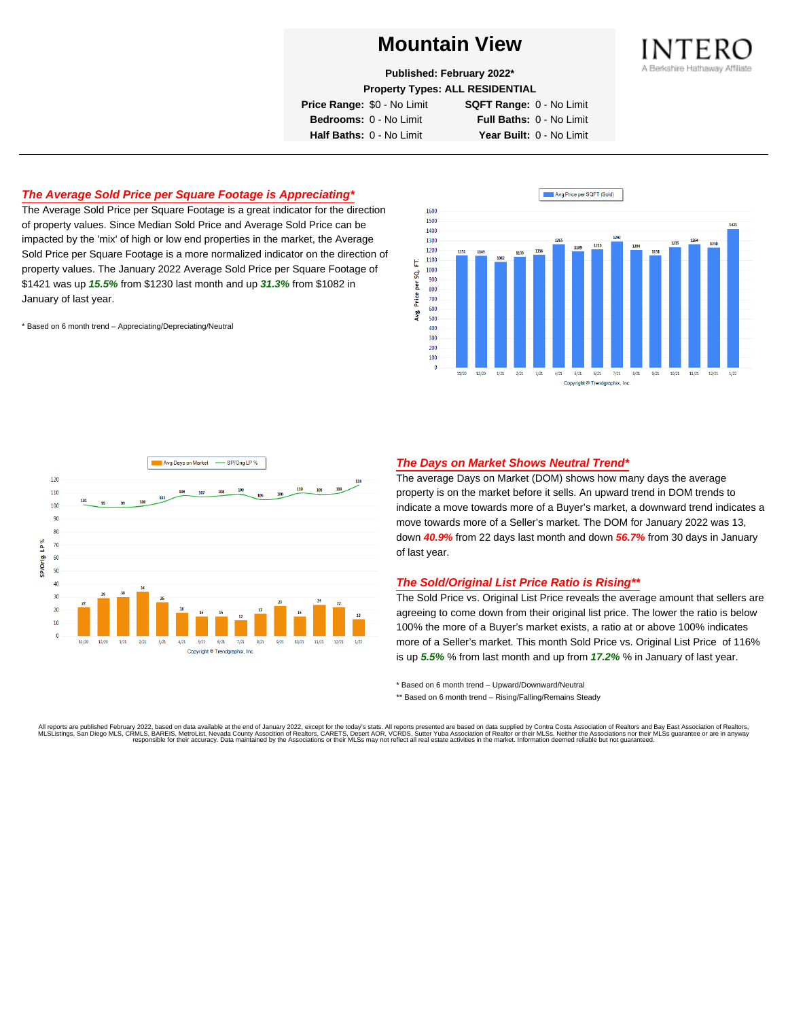

**Published: February 2022\***

**Property Types: ALL RESIDENTIAL**

**Price Range:** \$0 - No Limit **SQFT Range:** 0 - No Limit

**Bedrooms:** 0 - No Limit **Full Baths:** 0 - No Limit **Half Baths:** 0 - No Limit **Year Built:** 0 - No Limit

# **The Average Sold Price per Square Footage is Appreciating\***

The Average Sold Price per Square Footage is a great indicator for the direction of property values. Since Median Sold Price and Average Sold Price can be impacted by the 'mix' of high or low end properties in the market, the Average Sold Price per Square Footage is a more normalized indicator on the direction of property values. The January 2022 Average Sold Price per Square Footage of \$1421 was up **15.5%** from \$1230 last month and up **31.3%** from \$1082 in January of last year.

\* Based on 6 month trend – Appreciating/Depreciating/Neutral





## **The Days on Market Shows Neutral Trend\***

The average Days on Market (DOM) shows how many days the average property is on the market before it sells. An upward trend in DOM trends to indicate a move towards more of a Buyer's market, a downward trend indicates a move towards more of a Seller's market. The DOM for January 2022 was 13, down **40.9%** from 22 days last month and down **56.7%** from 30 days in January of last year.

## **The Sold/Original List Price Ratio is Rising\*\***

The Sold Price vs. Original List Price reveals the average amount that sellers are agreeing to come down from their original list price. The lower the ratio is below 100% the more of a Buyer's market exists, a ratio at or above 100% indicates more of a Seller's market. This month Sold Price vs. Original List Price of 116% is up **5.5%** % from last month and up from **17.2%** % in January of last year.

\* Based on 6 month trend – Upward/Downward/Neutral

\*\* Based on 6 month trend - Rising/Falling/Remains Steady

All reports are published February 2022, based on data available at the end of January 2022, except for the today's stats. All reports presented are based on data supplied by Contra Costa Association of Realtors and Bay Ea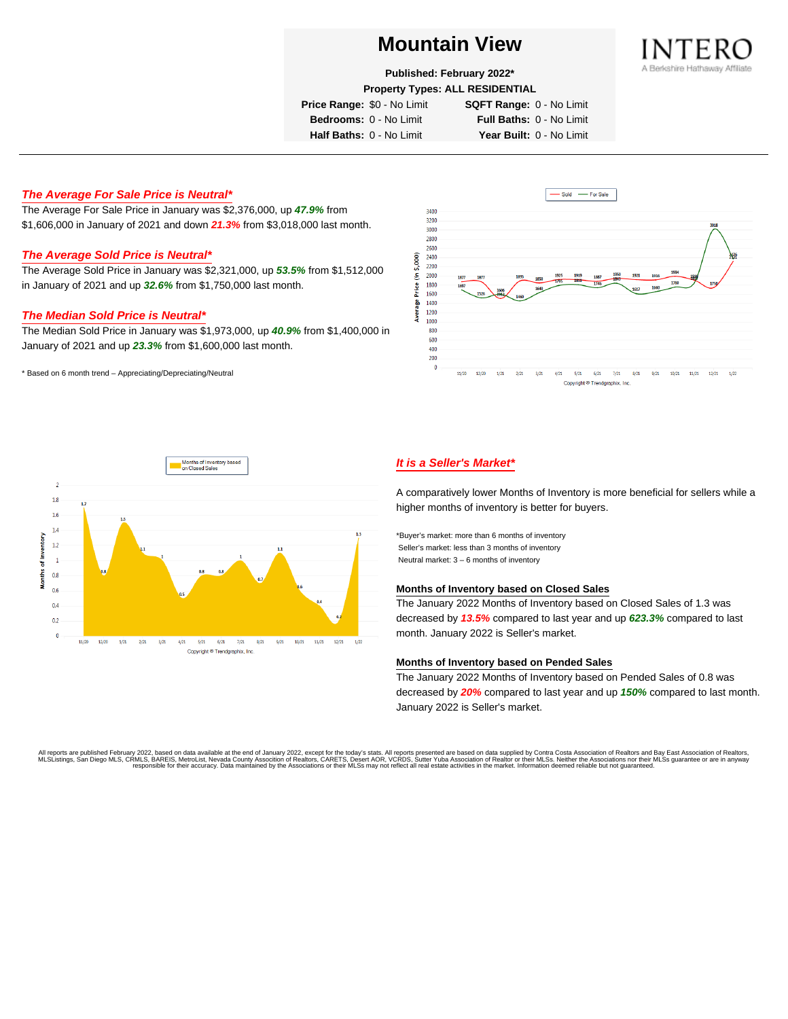

**Published: February 2022\***

**Property Types: ALL RESIDENTIAL**

**Price Range:** \$0 - No Limit **SQFT Range:** 0 - No Limit

**Bedrooms:** 0 - No Limit **Full Baths:** 0 - No Limit **Half Baths:** 0 - No Limit **Year Built:** 0 - No Limit

# **The Average For Sale Price is Neutral\***

The Average For Sale Price in January was \$2,376,000, up **47.9%** from \$1,606,000 in January of 2021 and down **21.3%** from \$3,018,000 last month.

## **The Average Sold Price is Neutral\***

The Average Sold Price in January was \$2,321,000, up **53.5%** from \$1,512,000 in January of 2021 and up **32.6%** from \$1,750,000 last month.

## **The Median Sold Price is Neutral\***

The Median Sold Price in January was \$1,973,000, up **40.9%** from \$1,400,000 in January of 2021 and up **23.3%** from \$1,600,000 last month.

\* Based on 6 month trend – Appreciating/Depreciating/Neutral





# **It is a Seller's Market\***

A comparatively lower Months of Inventory is more beneficial for sellers while a higher months of inventory is better for buyers.

\*Buyer's market: more than 6 months of inventory Seller's market: less than 3 months of inventory Neutral market: 3 – 6 months of inventory

#### **Months of Inventory based on Closed Sales**

The January 2022 Months of Inventory based on Closed Sales of 1.3 was decreased by **13.5%** compared to last year and up **623.3%** compared to last month. January 2022 is Seller's market.

## **Months of Inventory based on Pended Sales**

The January 2022 Months of Inventory based on Pended Sales of 0.8 was decreased by **20%** compared to last year and up **150%** compared to last month. January 2022 is Seller's market.

All reports are published February 2022, based on data available at the end of January 2022, except for the today's stats. All reports presented are based on data supplied by Contra Costa Association of Realtors, and beat responsible for their accuracy. Data maintained by the Associations or their MLSs may not reflect all real estate activities in the market. Information deemed reliable but not quaranteed